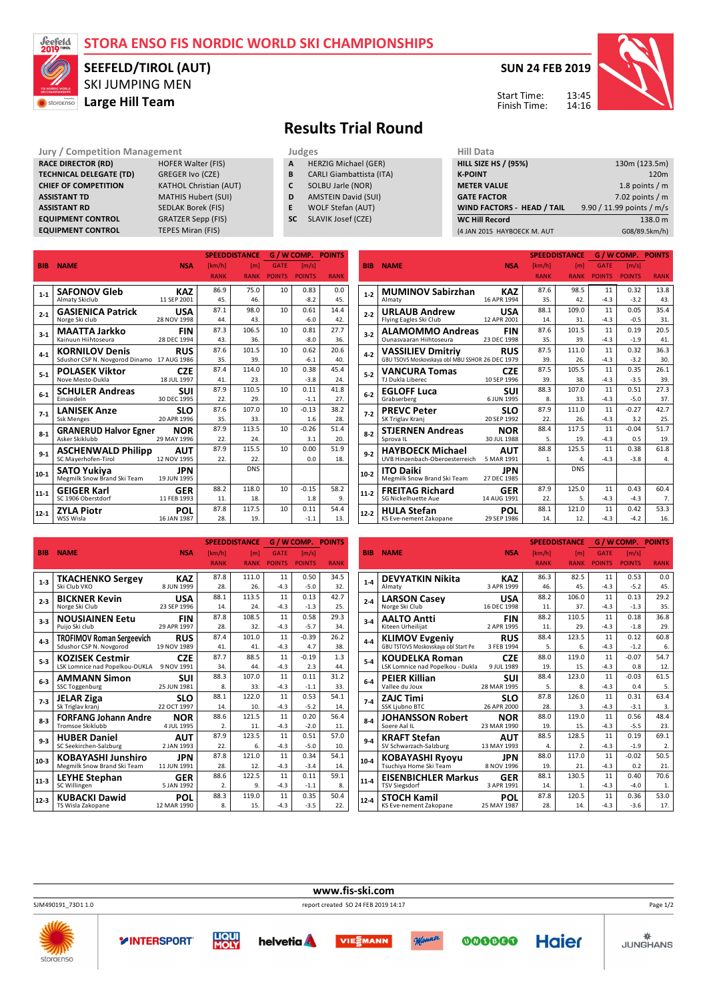## **STORA ENSO FIS NORDIC WORLD SKI CHAMPIONSHIPS**



## SKI JUMPING MEN **SASSIGRAPHILITERS SEEFELD/TIROL (AUT)**

**SUN 24 FEB 2019**



13:45 14:16 Start Time: Finish Time:

## **Results Trial Round**

**Jury / Competition Management Judges** Judges **Hill Data**<br> **RACE DIRECTOR (RD)** HILL SIZE **HILL SIZE HILL SIZE HILL SIZE HILL SIZE HILL SIZE HILL SIZE HILL SIZE HILL SIZE H** 

**RACE DIRECTOR (RD)** HOFER Walter (FISTECHNICAL DELEGATE (TD) GREGER Ivo (CZE) **TECHNICAL DELEGATE (TD) CHIEF OF COMPETITION** KATHOL Christian (AUT) **ASSISTANT TD** MATHIS Hubert (SUI) **ASSISTANT RD** SEDLAK Borek (FIS) **EQUIPMENT CONTROL** GRATZER Sepp (FIS) **EQUIPMENT CONTROL** TEPES Miran (FIS)

**A** HERZIG Michael (GER)<br>**B** CARLI Giambattista (IT.

- **B** CARLI Giambattista (ITA)
- **C** SOLBU Jarle (NOR)
- **D** AMSTEIN David (SUI)
- **E** WOLF Stefan (AUT)
- **SC** SLAVIK Josef (CZE)

| (4 JAN 2015 HAYBOECK M. AUT | G08/89.5km/h)             |
|-----------------------------|---------------------------|
| <b>WC Hill Record</b>       | 138.0 m                   |
| WIND FACTORS - HEAD / TAIL  | 9.90 / 11.99 points / m/s |
| <b>GATE FACTOR</b>          | 7.02 points $/m$          |
| <b>METER VALUE</b>          | 1.8 points $/m$           |
| <b>K-POINT</b>              | 120 <sub>m</sub>          |
| <b>HILL SIZE HS / (95%)</b> | 130m (123.5m)             |
| niil Ddtd                   |                           |

**SPEEDDISTANCE G / W COMP. POINTS**

|            |                                            |             |             | <b>SPEEDDISTANCE</b> |               |               | <b>G/WCOMP. POINTS</b> |
|------------|--------------------------------------------|-------------|-------------|----------------------|---------------|---------------|------------------------|
| <b>BIB</b> | <b>NAME</b>                                | <b>NSA</b>  | [km/h]      | [ <sub>m</sub> ]     | <b>GATE</b>   | [m/s]         |                        |
|            |                                            |             | <b>RANK</b> | <b>RANK</b>          | <b>POINTS</b> | <b>POINTS</b> | <b>RANK</b>            |
|            | <b>SAFONOV Gleb</b>                        | <b>KAZ</b>  | 86.9        | 75.0                 | 10            | 0.83          | 0.0                    |
| $1 - 1$    | <b>Almaty Skiclub</b>                      | 11 SEP 2001 | 45.         | 46.                  |               | $-8.2$        | 45.                    |
| $2 - 1$    | <b>GASIENICA Patrick</b>                   | <b>USA</b>  | 87.1        | 98.0                 | 10            | 0.61          | 14.4                   |
|            | Norge Ski club                             | 28 NOV 1998 | 44.         | 43.                  |               | $-6.0$        | 42.                    |
| $3 - 1$    | <b>MAATTA Jarkko</b>                       | <b>FIN</b>  | 87.3        | 106.5                | 10            | 0.81          | 27.7                   |
|            | Kainuun Hiihtoseura                        | 28 DEC 1994 | 43.         | 36.                  |               | $-8.0$        | 36.                    |
| $4 - 1$    | <b>KORNILOV Denis</b>                      | <b>RUS</b>  | 87.6        | 101.5                | 10            | 0.62          | 20.6                   |
|            | Sdushor CSP N. Novgorod Dinamo 17 AUG 1986 |             | 35.         | 39.                  |               | $-6.1$        | 40.                    |
| $5 - 1$    | <b>POLASEK Viktor</b>                      | <b>CZE</b>  | 87.4        | 114.0                | 10            | 0.38          | 45.4                   |
|            | Nove Mesto-Dukla                           | 18 JUL 1997 | 41.         | 23.                  |               | $-3.8$        | 24.                    |
| $6-1$      | <b>SCHULER Andreas</b>                     | SUI         | 87.9        | 110.5                | 10            | 0.11          | 41.8                   |
|            | Einsiedeln                                 | 30 DEC 1995 | 22.         | 29.                  |               | $-1.1$        | 27.                    |
| $7-1$      | <b>LANISEK Anze</b>                        | <b>SLO</b>  | 87.6        | 107.0                | 10            | $-0.13$       | 38.2                   |
|            | <b>Ssk Menges</b>                          | 20 APR 1996 | 35.         | 33.                  |               | 1.6           | 28.                    |
| $8-1$      | <b>GRANERUD Halvor Egner</b>               | <b>NOR</b>  | 87.9        | 113.5                | 10            | $-0.26$       | 51.4                   |
|            | Asker Skiklubb                             | 29 MAY 1996 | 22.         | 24.                  |               | 3.1           | 20.                    |
| $9 - 1$    | <b>ASCHENWALD Philipp</b>                  | <b>AUT</b>  | 87.9        | 115.5                | 10            | 0.00          | 51.9                   |
|            | SC Mayerhofen-Tirol                        | 12 NOV 1995 | 22.         | 22.                  |               | 0.0           | 18.                    |
| $10-1$     | SATO Yukiya                                | JPN         |             | <b>DNS</b>           |               |               |                        |
|            | Megmilk Snow Brand Ski Team                | 19 JUN 1995 |             |                      |               |               |                        |
| $11 - 1$   | <b>GEIGER Karl</b>                         | <b>GER</b>  | 88.2        | 118.0                | 10            | $-0.15$       | 58.2                   |
|            | SC 1906 Oberstdorf                         | 11 FEB 1993 | 11.         | 18.                  |               | 1.8           | 9.                     |
| 12-1       | <b>ZYLA Piotr</b>                          | <b>POL</b>  | 87.8        | 117.5                | 10            | 0.11          | 54.4                   |
|            | WSS Wisla                                  | 16 JAN 1987 | 28.         | 19.                  |               | $-1.1$        | 13.                    |

| <b>BIB</b> | <b>NAME</b>                                     | <b>NSA</b>  | [km/h]      | [ <sub>m</sub> ] | <b>GATE</b>   | [m/s]         |             |
|------------|-------------------------------------------------|-------------|-------------|------------------|---------------|---------------|-------------|
|            |                                                 |             | <b>RANK</b> | <b>RANK</b>      | <b>POINTS</b> | <b>POINTS</b> | <b>RANK</b> |
| $1 - 2$    | <b>MUMINOV Sabirzhan</b>                        | KAZ         | 87.6        | 98.5             | 11            | 0.32          | 13.8        |
|            | Almaty                                          | 16 APR 1994 | 35.         | 42.              | $-4.3$        | $-3.2$        | 43.         |
| $2 - 2$    | <b>URLAUB Andrew</b>                            | <b>USA</b>  | 88.1        | 109.0            | 11            | 0.05          | 35.4        |
|            | Flying Eagles Ski Club                          | 12 APR 2001 | 14.         | 31.              | $-4.3$        | $-0.5$        | 31.         |
| $3 - 2$    | <b>ALAMOMMO Andreas</b>                         | <b>FIN</b>  | 87.6        | 101.5            | 11            | 0.19          | 20.5        |
|            | Ounasyaaran Hiihtoseura                         | 23 DEC 1998 | 35.         | 39.              | $-4.3$        | $-1.9$        | 41.         |
| $4-2$      | <b>VASSILIEV Dmitriy</b>                        | <b>RUS</b>  | 87.5        | 111.0            | 11            | 0.32          | 36.3        |
|            | GBU TSOVS Moskovskaya obl MBU SSHOR 26 DEC 1979 |             | 39.         | 26.              | $-4.3$        | $-3.2$        | 30.         |
| $5 - 2$    | <b>VANCURA Tomas</b>                            | <b>CZE</b>  | 87.5        | 105.5            | 11            | 0.35          | 26.1        |
|            | TJ Dukla Liberec                                | 10 SEP 1996 | 39.         | 38.              | $-4.3$        | $-3.5$        | 39.         |
| $6 - 2$    | <b>EGLOFF Luca</b>                              | SUI         | 88.3        | 107.0            | 11            | 0.51          | 27.3        |
|            | Grabserberg                                     | 6 JUN 1995  | 8.          | 33.              | $-4.3$        | $-5.0$        | 37.         |
| $7-2$      | <b>PREVC Peter</b>                              | SLO         | 87.9        | 111.0            | 11            | $-0.27$       | 42.7        |
|            | SK Triglav Kranj                                | 20 SEP 1992 | 22.         | 26.              | $-4.3$        | 3.2           | 25.         |
| $8 - 2$    | <b>STJERNEN Andreas</b>                         | <b>NOR</b>  | 88.4        | 117.5            | 11            | $-0.04$       | 51.7        |
|            | Sprova IL                                       | 30 JUL 1988 | 5.          | 19.              | $-4.3$        | 0.5           | 19.         |
| $9 - 2$    | <b>HAYBOECK Michael</b>                         | <b>AUT</b>  | 88.8        | 125.5            | 11            | 0.38          | 61.8        |
|            | UVB Hinzenbach-Oberoesterreich                  | 5 MAR 1991  | 1.          | 4.               | $-4.3$        | $-3.8$        | 4.          |
| $10-2$     | <b>ITO Daiki</b>                                | JPN         |             | <b>DNS</b>       |               |               |             |
|            | Megmilk Snow Brand Ski Team                     | 27 DEC 1985 |             |                  |               |               |             |
| $11-2$     | <b>FREITAG Richard</b>                          | GER         | 87.9        | 125.0            | 11            | 0.43          | 60.4        |
|            | <b>SG Nickelhuette Aue</b>                      | 14 AUG 1991 | 22.         | 5.               | $-4.3$        | $-4.3$        | 7.          |
| $12-2$     | <b>HULA Stefan</b>                              | POL         | 88.1        | 121.0            | 11            | 0.42          | 53.3        |
|            | KS Eve-nement Zakopane                          | 29 SEP 1986 | 14.         | 12.              | $-4.3$        | $-4.2$        | 16.         |

|            |                                  |             |             | <b>SPEEDDISTANCE</b> |               | <b>G/WCOMP. POINTS</b> |             |
|------------|----------------------------------|-------------|-------------|----------------------|---------------|------------------------|-------------|
| <b>BIB</b> | <b>NAME</b>                      | <b>NSA</b>  | [km/h]      | [ <sub>m</sub> ]     | <b>GATE</b>   | [m/s]                  |             |
|            |                                  |             | <b>RANK</b> | <b>RANK</b>          | <b>POINTS</b> | <b>POINTS</b>          | <b>RANK</b> |
|            | <b>TKACHENKO Sergey</b>          | <b>KAZ</b>  | 87.8        | 111.0                | 11            | 0.50                   | 34.5        |
| $1 - 3$    | Ski Club VKO                     | 8 JUN 1999  | 28.         | 26.                  | $-4.3$        | $-5.0$                 | 32.         |
| $2 - 3$    | <b>BICKNER Kevin</b>             | <b>USA</b>  | 88.1        | 113.5                | 11            | 0.13                   | 42.7        |
|            | Norge Ski Club                   | 23 SEP 1996 | 14.         | 24.                  | $-4.3$        | $-1.3$                 | 25.         |
| $3-3$      | <b>NOUSIAINEN Eetu</b>           | <b>FIN</b>  | 87.8        | 108.5                | 11            | 0.58                   | 29.3        |
|            | Puijo Ski club                   | 29 APR 1997 | 28.         | 32.                  | $-4.3$        | $-5.7$                 | 34.         |
| $4 - 3$    | <b>TROFIMOV Roman Sergeevich</b> | <b>RUS</b>  | 87.4        | 101.0                | 11            | $-0.39$                | 26.2        |
|            | Sdushor CSP N. Novgorod          | 19 NOV 1989 | 41.         | 41.                  | $-4.3$        | 4.7                    | 38.         |
| $5-3$      | <b>KOZISEK Cestmir</b>           | <b>CZE</b>  | 87.7        | 88.5                 | 11            | $-0.19$                | 1.3         |
|            | LSK Lomnice nad Popelkou-DUKLA   | 9 NOV 1991  | 34.         | 44.                  | $-4.3$        | 2.3                    | 44.         |
| $6-3$      | <b>AMMANN Simon</b>              | <b>SUI</b>  | 88.3        | 107.0                | 11            | 0.11                   | 31.2        |
|            | <b>SSC Toggenburg</b>            | 25 JUN 1981 | 8.          | 33.                  | $-4.3$        | $-1.1$                 | 33.         |
| $7-3$      | <b>JELAR Ziga</b>                | <b>SLO</b>  | 88.1        | 122.0                | 11            | 0.53                   | 54.1        |
|            | Sk Triglav kranj                 | 22 OCT 1997 | 14.         | 10.                  | $-4.3$        | $-5.2$                 | 14.         |
| $8-3$      | <b>FORFANG Johann Andre</b>      | <b>NOR</b>  | 88.6        | 121.5                | 11            | 0.20                   | 56.4        |
|            | <b>Tromsoe Skiklubb</b>          | 4 JUL 1995  | 2.          | 11.                  | $-4.3$        | $-2.0$                 | 11.         |
| $9 - 3$    | <b>HUBER Daniel</b>              | AUT         | 87.9        | 123.5                | 11            | 0.51                   | 57.0        |
|            | SC Seekirchen-Salzburg           | 2 JAN 1993  | 22.         | 6.                   | $-4.3$        | $-5.0$                 | 10.         |
| $10-3$     | <b>KOBAYASHI Junshiro</b>        | <b>JPN</b>  | 87.8        | 121.0                | 11            | 0.34                   | 54.1        |
|            | Megmilk Snow Brand Ski Team      | 11 JUN 1991 | 28.         | 12.                  | $-4.3$        | $-3.4$                 | 14.         |
| $11 - 3$   | <b>LEYHE Stephan</b>             | <b>GER</b>  | 88.6        | 122.5                | 11            | 0.11                   | 59.1        |
|            | SC Willingen                     | 5 JAN 1992  | 2.          | 9.                   | $-4.3$        | $-1.1$                 | 8.          |
| $12-3$     | <b>KUBACKI Dawid</b>             | <b>POL</b>  | 88.3        | 119.0                | 11            | 0.35                   | 50.4        |
|            | TS Wisla Zakopane                | 12 MAR 1990 | 8.          | 15.                  | $-4.3$        | $-3.5$                 | 22.         |

|            |                                     |             |                  | <b>SPEED DISTANCE</b> |               | <b>G/WCOMP. POINTS</b> |             |
|------------|-------------------------------------|-------------|------------------|-----------------------|---------------|------------------------|-------------|
| <b>BIB</b> | <b>NAME</b>                         | <b>NSA</b>  | [km/h]           | [m]                   | <b>GATE</b>   | [m/s]                  |             |
|            |                                     |             | <b>RANK</b>      | <b>RANK</b>           | <b>POINTS</b> | <b>POINTS</b>          | <b>RANK</b> |
|            | <b>DEVYATKIN Nikita</b>             | <b>KAZ</b>  | 86.3             | 82.5                  | 11            | 0.53                   | 0.0         |
| $1 - 4$    | Almaty                              | 3 APR 1999  | 46.              | 45.                   | $-4.3$        | $-5.2$                 | 45.         |
| $2 - 4$    | <b>LARSON Casey</b>                 | USA         | 88.2             | 106.0                 | 11            | 0.13                   | 29.2        |
|            | Norge Ski Club                      | 16 DEC 1998 | 11.              | 37.                   | $-4.3$        | $-1.3$                 | 35.         |
| $3-4$      | <b>AALTO Antti</b>                  | <b>FIN</b>  | 88.2             | 110.5                 | 11            | 0.18                   | 36.8        |
|            | Kiteen Urheilijat                   | 2 APR 1995  | 11.              | 29.                   | $-4.3$        | $-1.8$                 | 29.         |
| $4-4$      | <b>KLIMOV Evgeniy</b>               | <b>RUS</b>  | 88.4             | 123.5                 | 11            | 0.12                   | 60.8        |
|            | GBU TSTOVS Moskovskaya obl Start Pe | 3 FEB 1994  | 5.               | 6.                    | $-4.3$        | $-1.2$                 | 6.          |
| $5 - 4$    | <b>KOUDELKA Roman</b>               | <b>CZE</b>  | 88.0             | 119.0                 | 11            | $-0.07$                | 54.7        |
|            | LSK Lomnice nad Popelkou - Dukla    | 9 JUL 1989  | 19.              | 15.                   | $-4.3$        | 0.8                    | 12.         |
| $6 - 4$    | <b>PEIER Killian</b>                | <b>SUI</b>  | 88.4             | 123.0                 | 11            | $-0.03$                | 61.5        |
|            | Vallee du Joux                      | 28 MAR 1995 | 5.               | 8.                    | $-4.3$        | 0.4                    | 5.          |
| $7-4$      | <b>ZAJC Timi</b>                    | <b>SLO</b>  | 87.8             | 126.0                 | 11            | 0.31                   | 63.4        |
|            | SSK Ljubno BTC                      | 26 APR 2000 | 28.              | 3.                    | $-4.3$        | $-3.1$                 | 3.          |
| $8 - 4$    | JOHANSSON Robert                    | NOR         | 88.0             | 119.0                 | 11            | 0.56                   | 48.4        |
|            | Soere Aal IL                        | 23 MAR 1990 | 19.              | 15.                   | $-4.3$        | $-5.5$                 | 23.         |
| $9 - 4$    | <b>KRAFT Stefan</b>                 | <b>AUT</b>  | 88.5             | 128.5                 | 11            | 0.19                   | 69.1        |
|            | SV Schwarzach-Salzburg              | 13 MAY 1993 | $\overline{4}$ . | 2.                    | $-4.3$        | $-1.9$                 | 2.          |
| $10-4$     | <b>KOBAYASHI Ryoyu</b>              | JPN         | 88.0             | 117.0                 | 11            | $-0.02$                | 50.5        |
|            | Tsuchiya Home Ski Team              | 8 NOV 1996  | 19.              | 21.                   | $-4.3$        | 0.2                    | 21.         |
| $11 - 4$   | <b>EISENBICHLER Markus</b>          | <b>GER</b>  | 88.1             | 130.5                 | 11            | 0.40                   | 70.6        |
|            | <b>TSV Siegsdorf</b>                | 3 APR 1991  | 14.              | 1.                    | $-4.3$        | $-4.0$                 | 1.          |
| $12 - 4$   | <b>STOCH Kamil</b>                  | <b>POL</b>  | 87.8             | 120.5                 | 11            | 0.36                   | 53.0        |
|            | KS Eve-nement Zakopane              | 25 MAY 1987 | 28.              | 14.                   | $-4.3$        | $-3.6$                 | 17.         |